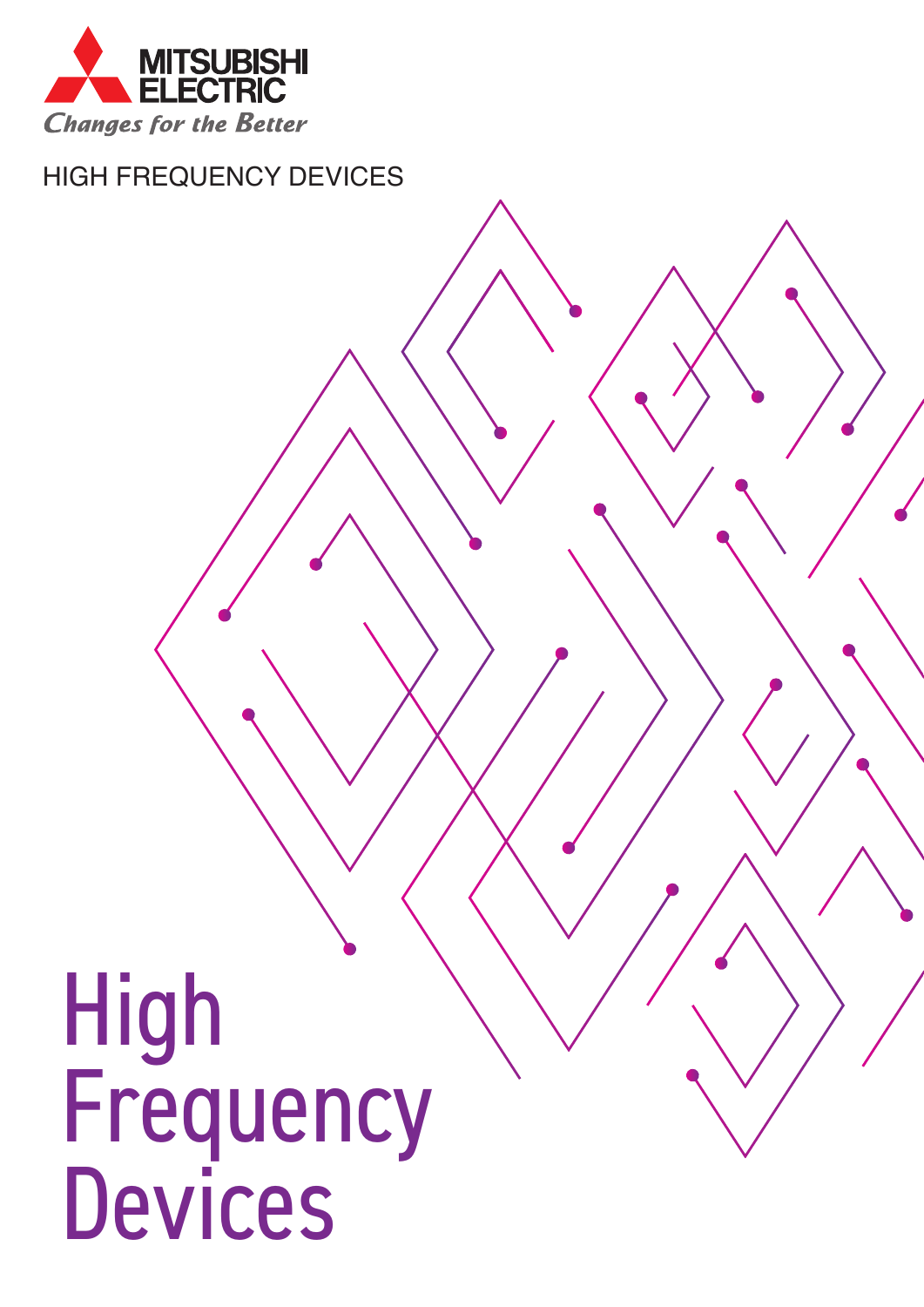

HIGH FREQUENCY DEVICES

# High Frequency Devices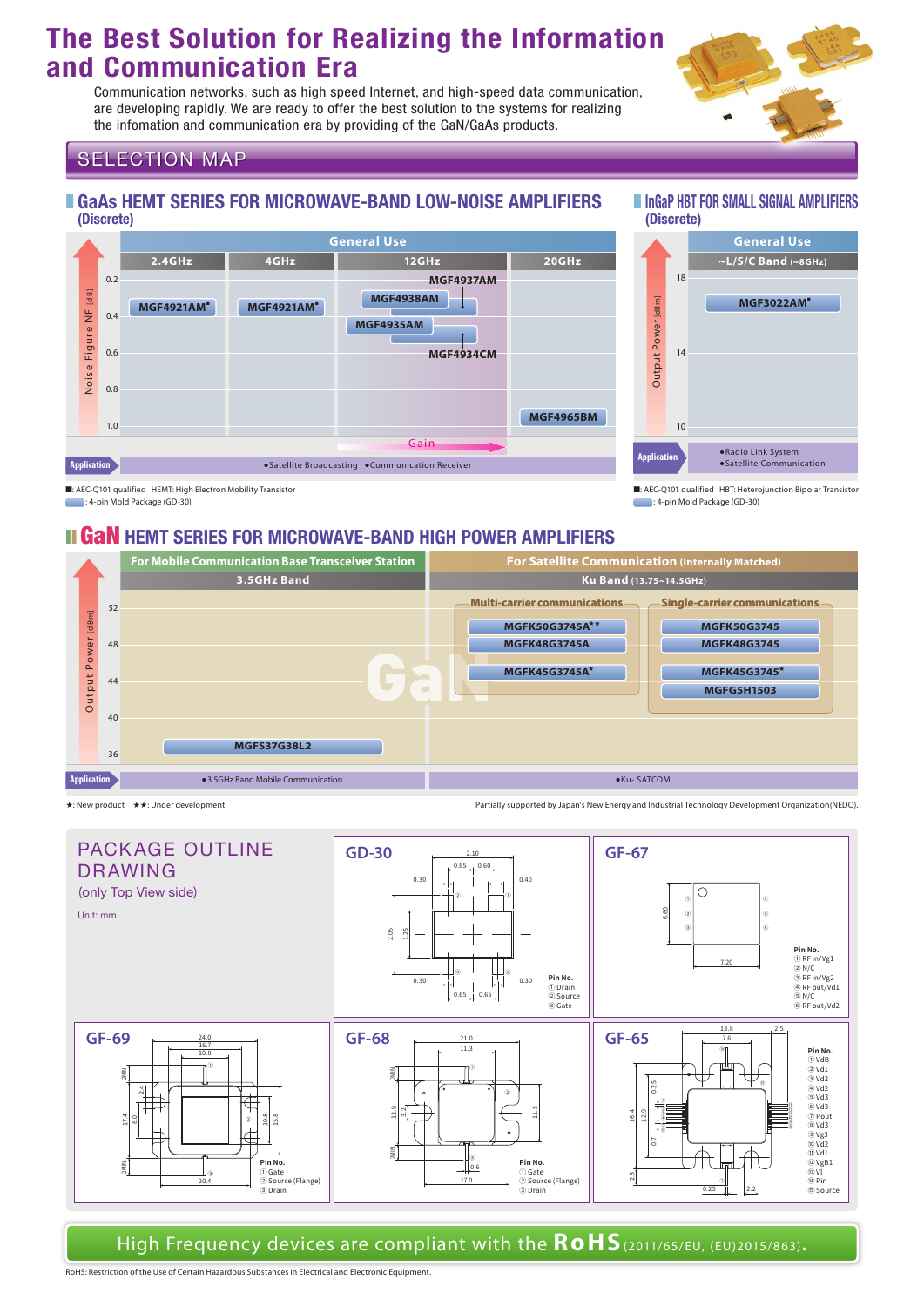# **The Best Solution for Realizing the Information and Communication Era**

Communication networks, such as high speed Internet, and high-speed data communication, are developing rapidly. We are ready to offer the best solution to the systems for realizing the infomation and communication era by providing of the GaN/GaAs products.



#### **SELECTION MAP**

#### ■ GaAs HEMT SERIES FOR MICROWAVE-BAND LOW-NOISE AMPLIFIERS (Discrete)

# ■ InGaP HBT FOR SMALL SIGNAL AMPLIFIERS (Discrete)



**Application** ● Radio Link System 10  $14$ 18 **~L/S/C Band (~8GHz) MGF3022AM**■ **General Use**

■: AEC-Q101 qualified HBT: Heterojunction Bipolar Transistor : 4-pin Mold Package (GD-30)

■: AEC-Q101 qualified HEMT: High Electron Mobility Transistor

: 4-pin Mold Package (GD-30)

### **II GAN HEMT SERIES FOR MICROWAVE-BAND HIGH POWER AMPLIFIERS**



★: New product ★★: Under development Partially supported by Japan's New Energy and Industrial Technology Development Organization(NEDO).



High Frequency devices are compliant with the **RoHS**(2011/65/EU, (EU)2015/863)**.**

RoHS: Restriction of the Use of Certain Hazardous Substances in Electrical and Electronic Equipment.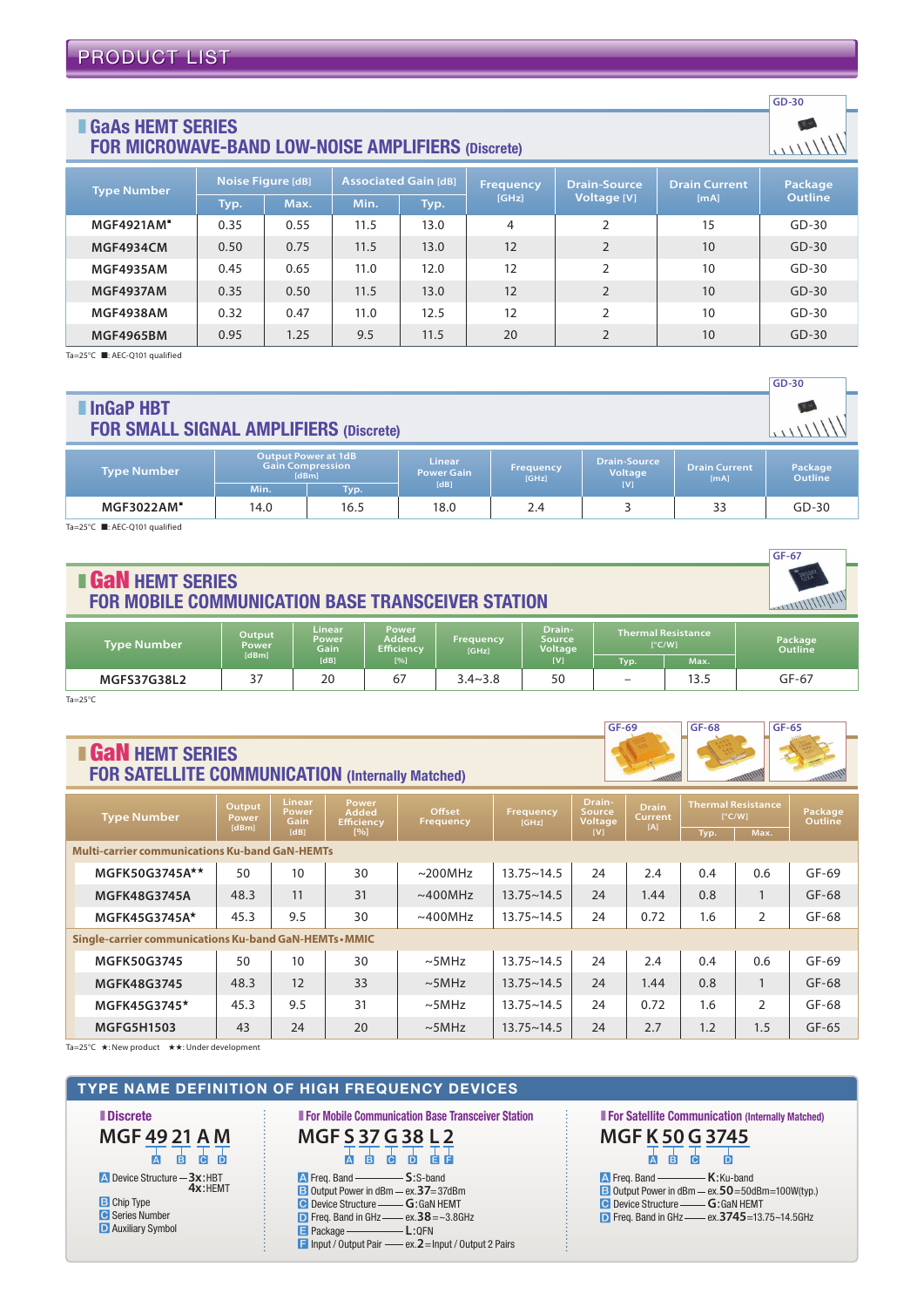#### ■ GaAs HEMT SERIES FOR MICROWAVE-BAND LOW-NOISE AMPLIFIERS (Discrete)

| <b>Type Number</b> | Noise Figure [dB] |      | <b>Associated Gain [dB]</b> |      | <b>Frequency</b> | <b>Drain-Source</b> | <b>Drain Current</b> | Package        |  |
|--------------------|-------------------|------|-----------------------------|------|------------------|---------------------|----------------------|----------------|--|
|                    | Typ.              | Max. | Min.                        | Typ. | [GHz]            | Voltage [V]         | [mA]                 | <b>Outline</b> |  |
| <b>MGF4921AM</b>   | 0.35              | 0.55 | 11.5                        | 13.0 | 4                | 2                   | 15                   | $GD-30$        |  |
| <b>MGF4934CM</b>   | 0.50              | 0.75 | 11.5                        | 13.0 | 12               | $\overline{2}$      | 10                   | $GD-30$        |  |
| <b>MGF4935AM</b>   | 0.45              | 0.65 | 11.0                        | 12.0 | 12               | $\overline{2}$      | 10                   | $GD-30$        |  |
| <b>MGF4937AM</b>   | 0.35              | 0.50 | 11.5                        | 13.0 | 12               | $\overline{2}$      | 10                   | $GD-30$        |  |
| <b>MGF4938AM</b>   | 0.32              | 0.47 | 11.0                        | 12.5 | 12               | $\mathcal{P}$       | 10                   | $GD-30$        |  |
| <b>MGF4965BM</b>   | 0.95              | 1.25 | 9.5                         | 11.5 | 20               | $\mathfrak{D}$      | 10                   | $GD-30$        |  |

Ta=25°C ■: AEC-Q101 qualified

| $GD-30$                                                                    |                                                                                |      |                                            |                           |                                       |                              |                    |  |  |  |
|----------------------------------------------------------------------------|--------------------------------------------------------------------------------|------|--------------------------------------------|---------------------------|---------------------------------------|------------------------------|--------------------|--|--|--|
| InGaP HBT<br>$E_{\Omega}$<br><b>FOR SMALL SIGNAL AMPLIFIERS (Discrete)</b> |                                                                                |      |                                            |                           |                                       |                              |                    |  |  |  |
| <b>Type Number</b>                                                         | <b>Output Power at 1dB</b><br><b>Gain Compression</b><br>[dBm]<br>Min.<br>Typ. |      | <b>Linear</b><br><b>Power Gain</b><br>[dB] | <b>Frequency</b><br>[GHz] | <b>Drain-Source</b><br>Voltage<br>[V] | <b>Drain Current</b><br>[mA] | Package<br>Outline |  |  |  |
| <b>MGF3022AM</b>                                                           | 14.0                                                                           | 16.5 | 18.0                                       | 2.4                       |                                       | 33                           | $GD-30$            |  |  |  |

Ta=25°C ■: AEC-Q101 qualified

| GF-67                                                                                          |                                        |                                               |                                            |                                  |                                                  |                                                    |              |                           |  |
|------------------------------------------------------------------------------------------------|----------------------------------------|-----------------------------------------------|--------------------------------------------|----------------------------------|--------------------------------------------------|----------------------------------------------------|--------------|---------------------------|--|
| 380381<br><b>I GaN HEMT SERIES</b><br><b>FOR MOBILE COMMUNICATION BASE TRANSCEIVER STATION</b> |                                        |                                               |                                            |                                  |                                                  |                                                    |              |                           |  |
| <b>Type Number</b>                                                                             | Output<br><b>Power</b><br><b>IdBml</b> | <b>Linear</b><br><b>Power</b><br>Gain<br>[dB] | Power<br>Added<br><b>Efficiency</b><br>[%] | <b>Frequency</b><br><b>IGHZI</b> | Drain-<br><b>Source</b><br><b>Voltage</b><br>[V] | <b>Thermal Resistance</b><br>$\Gamma^{\circ}$ C/Wl |              | Package<br><b>Outline</b> |  |
| MGFS37G38L2                                                                                    | 37                                     | 20                                            | 67                                         | $3.4 - 3.8$                      | 50                                               | Typ.                                               | Max.<br>13.5 | $GF-67$                   |  |
|                                                                                                |                                        |                                               |                                            |                                  |                                                  |                                                    |              |                           |  |

Ta=25°C

### **B GaN HEMT SERIES** FOR SATELLITE COMMUNICATION (Internally Matched)



**GD-30**

 $EU$  $111111'$ 

| <b>Type Number</b>                                     |                     | Output<br>Power<br>[dBm] | <b>Linear</b><br>Power<br>Gain | Power<br><b>Added</b><br><b>Efficiency</b> | Offset<br>Frequency | Drain-<br>Frequency<br>Source<br>Voltage<br>[GHz] |     | <b>Drain</b><br><b>Current</b><br>[A] | <b>Thermal Resistance</b><br>$[^{\circ}C/W]$ |                | <b>Package</b><br>Outline |
|--------------------------------------------------------|---------------------|--------------------------|--------------------------------|--------------------------------------------|---------------------|---------------------------------------------------|-----|---------------------------------------|----------------------------------------------|----------------|---------------------------|
|                                                        |                     |                          | [dB]                           | [%]                                        |                     |                                                   | [V] |                                       | Typ.                                         | Max.           |                           |
| <b>Multi-carrier communications Ku-band GaN-HEMTs</b>  |                     |                          |                                |                                            |                     |                                                   |     |                                       |                                              |                |                           |
|                                                        | MGFK50G3745A**      | 50                       | 10                             | 30                                         | $\sim$ 200MHz       | $13.75 \sim 14.5$                                 | 24  | 2.4                                   | 0.4                                          | 0.6            | $GF-69$                   |
|                                                        | <b>MGFK48G3745A</b> | 48.3                     | 11                             | 31                                         | $~\sim$ 400MHz      | $13.75 \sim 14.5$                                 | 24  | 1.44                                  | 0.8                                          |                | $GF-68$                   |
|                                                        | MGFK45G3745A*       | 45.3                     | 9.5                            | 30                                         | $~\sim$ 400MHz      | $13.75 \sim 14.5$                                 | 24  | 0.72                                  | 1.6                                          | $\overline{2}$ | $GF-68$                   |
| Single-carrier communications Ku-band GaN-HEMTs • MMIC |                     |                          |                                |                                            |                     |                                                   |     |                                       |                                              |                |                           |
|                                                        | <b>MGFK50G3745</b>  | 50                       | 10                             | 30                                         | $\sim$ 5MHz         | $13.75 \sim 14.5$                                 | 24  | 2.4                                   | 0.4                                          | 0.6            | $GF-69$                   |
|                                                        | <b>MGFK48G3745</b>  | 48.3                     | 12                             | 33                                         | $\sim$ 5MHz         | $13.75 \sim 14.5$                                 | 24  | 1.44                                  | 0.8                                          |                | $GF-68$                   |
|                                                        | MGFK45G3745*        | 45.3                     | 9.5                            | 31                                         | $\sim$ 5MHz         | $13.75 - 14.5$                                    | 24  | 0.72                                  | 1.6                                          | $\overline{2}$ | GF-68                     |
|                                                        | <b>MGFG5H1503</b>   | 43                       | 24                             | 20                                         | $\sim$ 5MHz         | $13.75 - 14.5$                                    | 24  | 2.7                                   | 1.2                                          | 1.5            | $GF-65$                   |

Ta=25°C ★: New product ★★: Under development

#### TYPE NAME DEFINITION OF HIGH FREQUENCY DEVICES

■ Discrete **A** Device Structure **3x**:HBT **B** Chip Type **C** Series Number **D** Auxiliary Symbol **4x**:HEMT **MGF 49 21 A M A B C D**

**A** Freq. Band **B** Output Power in dBm - ex. 37=37dBm **C** Device Structure -**D** Freq. Band in GHz-**E** Package **F** Input / Output Pair ex.**2**=Input / Output 2 Pairs **S**:S-band **G**:GaN HEMT  $-ex.38 = -3.8GHz$ **L**:QFN **MGF S 37 G 38 L 2 A B C D E F**

■ For Mobile Communication Base Transceiver Station

**A** Freq. Band **B** Output Power in dBm **C** Device Structure **D** Freq. Band in GHz - ex. 3745=13.75~14.5GHz **K**:Ku-band ex.**50**=50dBm=100W(typ.) **G**:GaN HEMT **MGF K 50 G 3745 A B C D**

■ For Satellite Communication (Internally Matched)